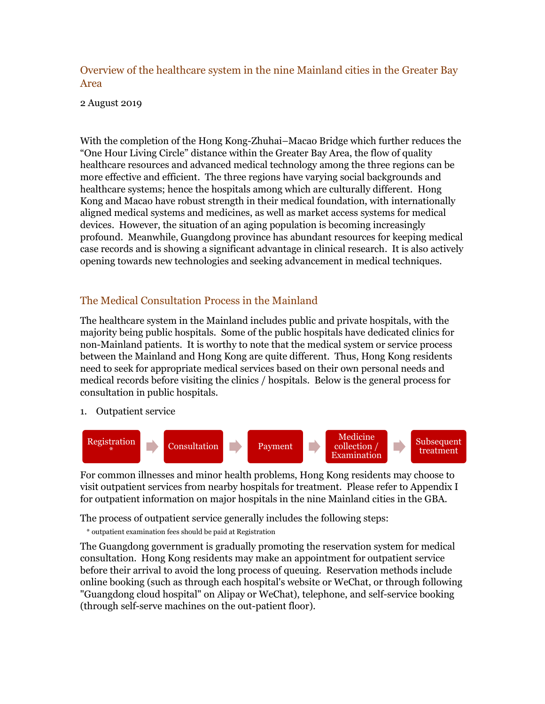Overview of the healthcare system in the nine Mainland cities in the Greater Bay Area

2 August 2019

With the completion of the Hong Kong-Zhuhai–Macao Bridge which further reduces the "One Hour Living Circle" distance within the Greater Bay Area, the flow of quality healthcare resources and advanced medical technology among the three regions can be more effective and efficient. The three regions have varying social backgrounds and healthcare systems; hence the hospitals among which are culturally different. Hong Kong and Macao have robust strength in their medical foundation, with internationally aligned medical systems and medicines, as well as market access systems for medical devices. However, the situation of an aging population is becoming increasingly profound. Meanwhile, Guangdong province has abundant resources for keeping medical case records and is showing a significant advantage in clinical research. It is also actively opening towards new technologies and seeking advancement in medical techniques.

### The Medical Consultation Process in the Mainland

The healthcare system in the Mainland includes public and private hospitals, with the majority being public hospitals. Some of the public hospitals have dedicated clinics for non-Mainland patients. It is worthy to note that the medical system or service process between the Mainland and Hong Kong are quite different. Thus, Hong Kong residents need to seek for appropriate medical services based on their own personal needs and medical records before visiting the clinics / hospitals. Below is the general process for consultation in public hospitals.

1. Outpatient service



For common illnesses and minor health problems, Hong Kong residents may choose to visit outpatient services from nearby hospitals for treatment. Please refer to Appendix I for outpatient information on major hospitals in the nine Mainland cities in the GBA.

The process of outpatient service generally includes the following steps:

\* outpatient examination fees should be paid at Registration

The Guangdong government is gradually promoting the reservation system for medical consultation. Hong Kong residents may make an appointment for outpatient service before their arrival to avoid the long process of queuing. Reservation methods include online booking (such as through each hospital's website or WeChat, or through following "Guangdong cloud hospital" on Alipay or WeChat), telephone, and self-service booking (through self-serve machines on the out-patient floor).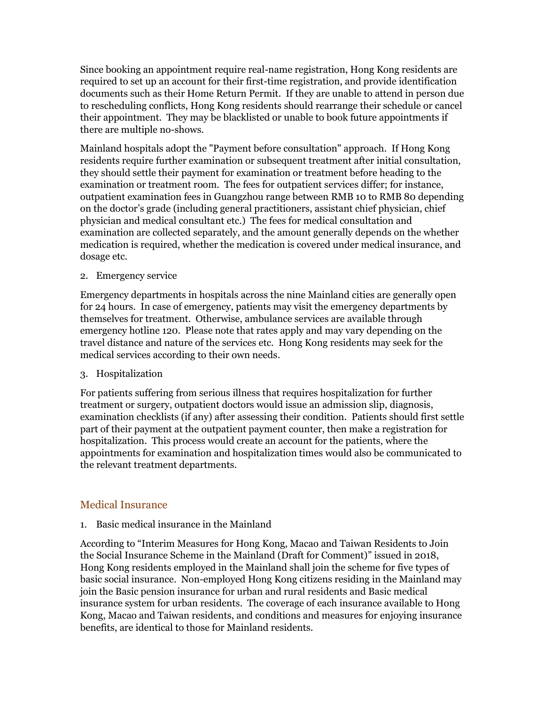Since booking an appointment require real-name registration, Hong Kong residents are required to set up an account for their first-time registration, and provide identification documents such as their Home Return Permit. If they are unable to attend in person due to rescheduling conflicts, Hong Kong residents should rearrange their schedule or cancel their appointment. They may be blacklisted or unable to book future appointments if there are multiple no-shows.

Mainland hospitals adopt the "Payment before consultation" approach. If Hong Kong residents require further examination or subsequent treatment after initial consultation, they should settle their payment for examination or treatment before heading to the examination or treatment room. The fees for outpatient services differ; for instance, outpatient examination fees in Guangzhou range between RMB 10 to RMB 80 depending on the doctor's grade (including general practitioners, assistant chief physician, chief physician and medical consultant etc.) The fees for medical consultation and examination are collected separately, and the amount generally depends on the whether medication is required, whether the medication is covered under medical insurance, and dosage etc.

#### 2. Emergency service

Emergency departments in hospitals across the nine Mainland cities are generally open for 24 hours. In case of emergency, patients may visit the emergency departments by themselves for treatment. Otherwise, ambulance services are available through emergency hotline 120. Please note that rates apply and may vary depending on the travel distance and nature of the services etc. Hong Kong residents may seek for the medical services according to their own needs.

#### 3. Hospitalization

For patients suffering from serious illness that requires hospitalization for further treatment or surgery, outpatient doctors would issue an admission slip, diagnosis, examination checklists (if any) after assessing their condition. Patients should first settle part of their payment at the outpatient payment counter, then make a registration for hospitalization. This process would create an account for the patients, where the appointments for examination and hospitalization times would also be communicated to the relevant treatment departments.

#### Medical Insurance

#### 1. Basic medical insurance in the Mainland

According to "Interim Measures for Hong Kong, Macao and Taiwan Residents to Join the Social Insurance Scheme in the Mainland (Draft for Comment)" issued in 2018, Hong Kong residents employed in the Mainland shall join the scheme for five types of basic social insurance. Non-employed Hong Kong citizens residing in the Mainland may join the Basic pension insurance for urban and rural residents and Basic medical insurance system for urban residents. The coverage of each insurance available to Hong Kong, Macao and Taiwan residents, and conditions and measures for enjoying insurance benefits, are identical to those for Mainland residents.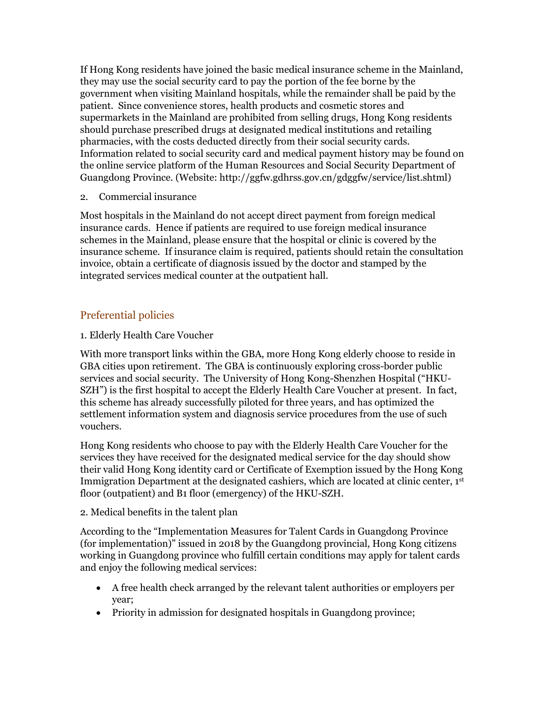If Hong Kong residents have joined the basic medical insurance scheme in the Mainland, they may use the social security card to pay the portion of the fee borne by the government when visiting Mainland hospitals, while the remainder shall be paid by the patient. Since convenience stores, health products and cosmetic stores and supermarkets in the Mainland are prohibited from selling drugs, Hong Kong residents should purchase prescribed drugs at designated medical institutions and retailing pharmacies, with the costs deducted directly from their social security cards. Information related to social security card and medical payment history may be found on the online service platform of the Human Resources and Social Security Department of Guangdong Province. (Website: http://ggfw.gdhrss.gov.cn/gdggfw/service/list.shtml)

2. Commercial insurance

Most hospitals in the Mainland do not accept direct payment from foreign medical insurance cards. Hence if patients are required to use foreign medical insurance schemes in the Mainland, please ensure that the hospital or clinic is covered by the insurance scheme. If insurance claim is required, patients should retain the consultation invoice, obtain a certificate of diagnosis issued by the doctor and stamped by the integrated services medical counter at the outpatient hall.

### Preferential policies

#### 1. Elderly Health Care Voucher

With more transport links within the GBA, more Hong Kong elderly choose to reside in GBA cities upon retirement. The GBA is continuously exploring cross-border public services and social security. The University of Hong Kong-Shenzhen Hospital ("HKU-SZH") is the first hospital to accept the Elderly Health Care Voucher at present. In fact, this scheme has already successfully piloted for three years, and has optimized the settlement information system and diagnosis service procedures from the use of such vouchers.

Hong Kong residents who choose to pay with the Elderly Health Care Voucher for the services they have received for the designated medical service for the day should show their valid Hong Kong identity card or Certificate of Exemption issued by the Hong Kong Immigration Department at the designated cashiers, which are located at clinic center,  $1<sup>st</sup>$ floor (outpatient) and B1 floor (emergency) of the HKU-SZH.

#### 2. Medical benefits in the talent plan

According to the "Implementation Measures for Talent Cards in Guangdong Province (for implementation)" issued in 2018 by the Guangdong provincial, Hong Kong citizens working in Guangdong province who fulfill certain conditions may apply for talent cards and enjoy the following medical services:

- A free health check arranged by the relevant talent authorities or employers per year;
- Priority in admission for designated hospitals in Guangdong province;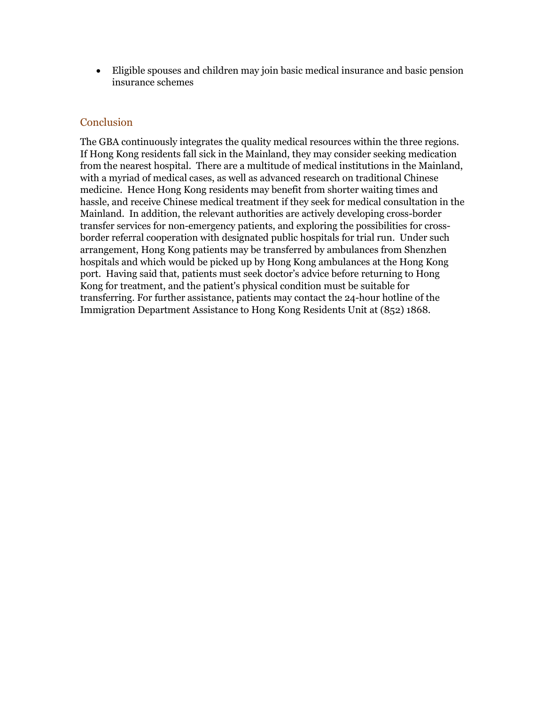Eligible spouses and children may join basic medical insurance and basic pension insurance schemes

#### **Conclusion**

The GBA continuously integrates the quality medical resources within the three regions. If Hong Kong residents fall sick in the Mainland, they may consider seeking medication from the nearest hospital. There are a multitude of medical institutions in the Mainland, with a myriad of medical cases, as well as advanced research on traditional Chinese medicine. Hence Hong Kong residents may benefit from shorter waiting times and hassle, and receive Chinese medical treatment if they seek for medical consultation in the Mainland. In addition, the relevant authorities are actively developing cross-border transfer services for non-emergency patients, and exploring the possibilities for crossborder referral cooperation with designated public hospitals for trial run. Under such arrangement, Hong Kong patients may be transferred by ambulances from Shenzhen hospitals and which would be picked up by Hong Kong ambulances at the Hong Kong port. Having said that, patients must seek doctor's advice before returning to Hong Kong for treatment, and the patient's physical condition must be suitable for transferring. For further assistance, patients may contact the 24-hour hotline of the Immigration Department Assistance to Hong Kong Residents Unit at (852) 1868.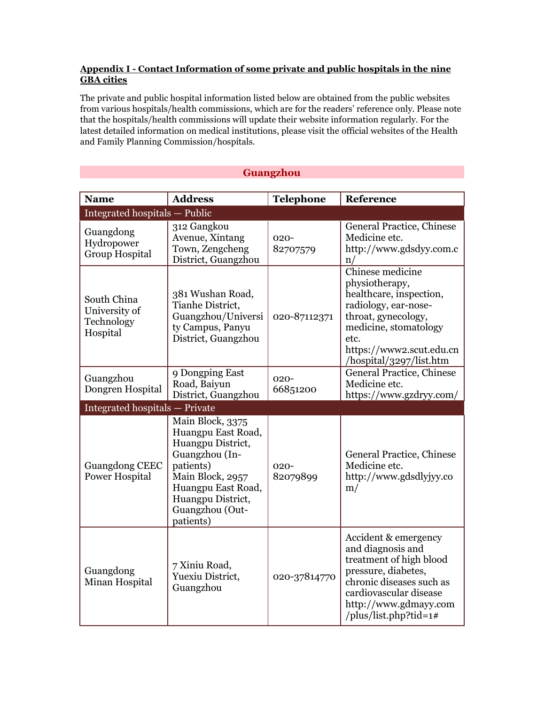#### **Appendix I - Contact Information of some private and public hospitals in the nine GBA cities**

The private and public hospital information listed below are obtained from the public websites from various hospitals/health commissions, which are for the readers' reference only. Please note that the hospitals/health commissions will update their website information regularly. For the latest detailed information on medical institutions, please visit the official websites of the Health and Family Planning Commission/hospitals.

**Guangzhou**

| <b>Name</b>                                            | <b>Address</b>                                                                                                                                                                            | <b>Telephone</b>    | Reference                                                                                                                                                                                            |
|--------------------------------------------------------|-------------------------------------------------------------------------------------------------------------------------------------------------------------------------------------------|---------------------|------------------------------------------------------------------------------------------------------------------------------------------------------------------------------------------------------|
| Integrated hospitals - Public                          |                                                                                                                                                                                           |                     |                                                                                                                                                                                                      |
| Guangdong<br>Hydropower<br><b>Group Hospital</b>       | 312 Gangkou<br>Avenue, Xintang<br>Town, Zengcheng<br>District, Guangzhou                                                                                                                  | $020 -$<br>82707579 | General Practice, Chinese<br>Medicine etc.<br>http://www.gdsdyy.com.c<br>n/                                                                                                                          |
| South China<br>University of<br>Technology<br>Hospital | 381 Wushan Road,<br>Tianhe District,<br>Guangzhou/Universi<br>ty Campus, Panyu<br>District, Guangzhou                                                                                     | 020-87112371        | Chinese medicine<br>physiotherapy,<br>healthcare, inspection,<br>radiology, ear-nose-<br>throat, gynecology,<br>medicine, stomatology<br>etc.<br>https://www2.scut.edu.cn<br>/hospital/3297/list.htm |
| Guangzhou<br>Dongren Hospital                          | 9 Dongping East<br>Road, Baiyun<br>District, Guangzhou                                                                                                                                    | $020 -$<br>66851200 | General Practice, Chinese<br>Medicine etc.<br>https://www.gzdryy.com/                                                                                                                                |
| <b>Integrated hospitals - Private</b>                  |                                                                                                                                                                                           |                     |                                                                                                                                                                                                      |
| <b>Guangdong CEEC</b><br><b>Power Hospital</b>         | Main Block, 3375<br>Huangpu East Road,<br>Huangpu District,<br>Guangzhou (In-<br>patients)<br>Main Block, 2957<br>Huangpu East Road,<br>Huangpu District,<br>Guangzhou (Out-<br>patients) | $020 -$<br>82079899 | General Practice, Chinese<br>Medicine etc.<br>http://www.gdsdlyjyy.co<br>m/                                                                                                                          |
| Guangdong<br>Minan Hospital                            | 7 Xiniu Road,<br>Yuexiu District,<br>Guangzhou                                                                                                                                            | 020-37814770        | Accident & emergency<br>and diagnosis and<br>treatment of high blood<br>pressure, diabetes,<br>chronic diseases such as<br>cardiovascular disease<br>http://www.gdmayy.com<br>/plus/list.php?tid=1#  |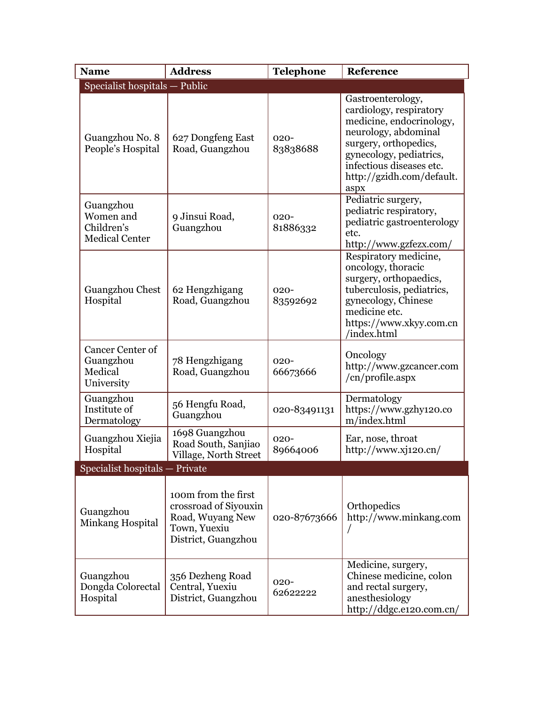| <b>Name</b>                                                   | <b>Address</b>                                                                                          | <b>Telephone</b>    | Reference                                                                                                                                                                                                             |
|---------------------------------------------------------------|---------------------------------------------------------------------------------------------------------|---------------------|-----------------------------------------------------------------------------------------------------------------------------------------------------------------------------------------------------------------------|
| Specialist hospitals - Public                                 |                                                                                                         |                     |                                                                                                                                                                                                                       |
| Guangzhou No. 8<br>People's Hospital                          | 627 Dongfeng East<br>Road, Guangzhou                                                                    | $020 -$<br>83838688 | Gastroenterology,<br>cardiology, respiratory<br>medicine, endocrinology,<br>neurology, abdominal<br>surgery, orthopedics,<br>gynecology, pediatrics,<br>infectious diseases etc.<br>http://gzidh.com/default.<br>aspx |
| Guangzhou<br>Women and<br>Children's<br><b>Medical Center</b> | 9 Jinsui Road,<br>Guangzhou                                                                             | $020 -$<br>81886332 | Pediatric surgery,<br>pediatric respiratory,<br>pediatric gastroenterology<br>etc.<br>http://www.gzfezx.com/                                                                                                          |
| Guangzhou Chest<br>Hospital                                   | 62 Hengzhigang<br>Road, Guangzhou                                                                       | $020 -$<br>83592692 | Respiratory medicine,<br>oncology, thoracic<br>surgery, orthopaedics,<br>tuberculosis, pediatrics,<br>gynecology, Chinese<br>medicine etc.<br>https://www.xkyy.com.cn<br>/index.html                                  |
| Cancer Center of<br>Guangzhou<br>Medical<br>University        | 78 Hengzhigang<br>Road, Guangzhou                                                                       | $020 -$<br>66673666 | Oncology<br>http://www.gzcancer.com<br>/cn/profile.aspx                                                                                                                                                               |
| Guangzhou<br>Institute of<br>Dermatology                      | 56 Hengfu Road,<br>Guangzhou                                                                            | 020-83491131        | Dermatology<br>https://www.gzhy120.co<br>m/index.html                                                                                                                                                                 |
| Guangzhou Xiejia<br>Hospital                                  | 1698 Guangzhou<br>Road South, Sanjiao<br>Village, North Street                                          | $020 -$<br>89664006 | Ear, nose, throat<br>http://www.xj120.cn/                                                                                                                                                                             |
| Specialist hospitals - Private                                |                                                                                                         |                     |                                                                                                                                                                                                                       |
| Guangzhou<br>Minkang Hospital                                 | 100m from the first<br>crossroad of Siyouxin<br>Road, Wuyang New<br>Town, Yuexiu<br>District, Guangzhou | 020-87673666        | Orthopedics<br>http://www.minkang.com                                                                                                                                                                                 |
| Guangzhou<br>Dongda Colorectal<br>Hospital                    | 356 Dezheng Road<br>Central, Yuexiu<br>District, Guangzhou                                              | $020 -$<br>62622222 | Medicine, surgery,<br>Chinese medicine, colon<br>and rectal surgery,<br>anesthesiology<br>http://ddgc.e120.com.cn/                                                                                                    |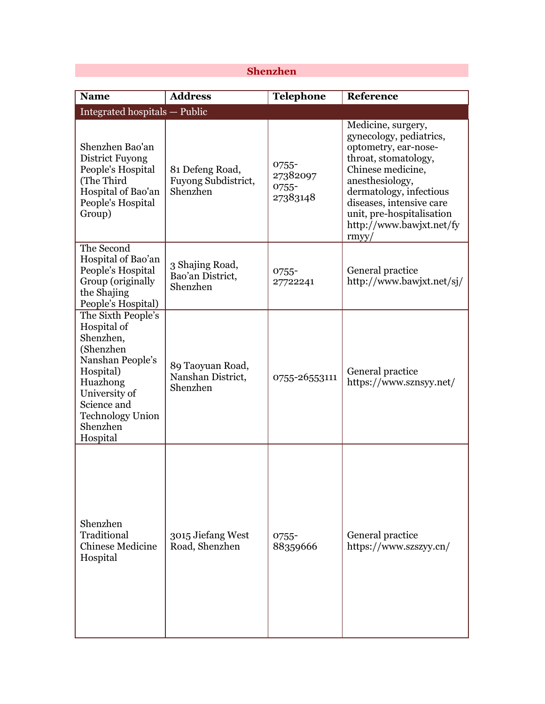## **Shenzhen**

 $\mathcal{L}(\mathcal{A})$ 

| <b>Name</b>                                                                                                                                                                                 | <b>Address</b>                                     | <b>Telephone</b>                       | Reference                                                                                                                                                                                                                                                      |
|---------------------------------------------------------------------------------------------------------------------------------------------------------------------------------------------|----------------------------------------------------|----------------------------------------|----------------------------------------------------------------------------------------------------------------------------------------------------------------------------------------------------------------------------------------------------------------|
| Integrated hospitals - Public                                                                                                                                                               |                                                    |                                        |                                                                                                                                                                                                                                                                |
| Shenzhen Bao'an<br><b>District Fuyong</b><br>People's Hospital<br>(The Third<br>Hospital of Bao'an<br>People's Hospital<br>Group)                                                           | 81 Defeng Road,<br>Fuyong Subdistrict,<br>Shenzhen | 0755-<br>27382097<br>0755-<br>27383148 | Medicine, surgery,<br>gynecology, pediatrics,<br>optometry, ear-nose-<br>throat, stomatology,<br>Chinese medicine,<br>anesthesiology,<br>dermatology, infectious<br>diseases, intensive care<br>unit, pre-hospitalisation<br>http://www.bawjxt.net/fy<br>rmyy/ |
| The Second<br>Hospital of Bao'an<br>People's Hospital<br>Group (originally<br>the Shajing<br>People's Hospital)                                                                             | 3 Shajing Road,<br>Bao'an District,<br>Shenzhen    | $0755 -$<br>27722241                   | General practice<br>http://www.bawjxt.net/sj/                                                                                                                                                                                                                  |
| The Sixth People's<br>Hospital of<br>Shenzhen,<br>(Shenzhen<br>Nanshan People's<br>Hospital)<br>Huazhong<br>University of<br>Science and<br><b>Technology Union</b><br>Shenzhen<br>Hospital | 89 Taoyuan Road,<br>Nanshan District,<br>Shenzhen  | 0755-26553111                          | General practice<br>https://www.sznsyy.net/                                                                                                                                                                                                                    |
| Shenzhen<br>Traditional<br><b>Chinese Medicine</b><br>Hospital                                                                                                                              | 3015 Jiefang West<br>Road, Shenzhen                | $0755 -$<br>88359666                   | General practice<br>https://www.szszyy.cn/                                                                                                                                                                                                                     |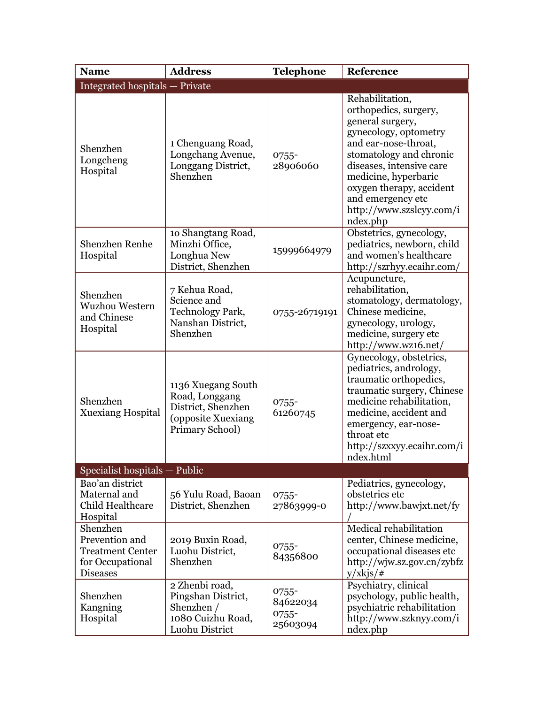| <b>Name</b>                                                                                  | <b>Address</b>                                                                                      | <b>Telephone</b>                          | Reference                                                                                                                                                                                                                                                                             |
|----------------------------------------------------------------------------------------------|-----------------------------------------------------------------------------------------------------|-------------------------------------------|---------------------------------------------------------------------------------------------------------------------------------------------------------------------------------------------------------------------------------------------------------------------------------------|
| <b>Integrated hospitals - Private</b>                                                        |                                                                                                     |                                           |                                                                                                                                                                                                                                                                                       |
| Shenzhen<br>Longcheng<br>Hospital                                                            | 1 Chenguang Road,<br>Longchang Avenue,<br>Longgang District,<br>Shenzhen                            | $0755 -$<br>28906060                      | Rehabilitation,<br>orthopedics, surgery,<br>general surgery,<br>gynecology, optometry<br>and ear-nose-throat,<br>stomatology and chronic<br>diseases, intensive care<br>medicine, hyperbaric<br>oxygen therapy, accident<br>and emergency etc<br>http://www.szslcyy.com/i<br>ndex.php |
| Shenzhen Renhe<br>Hospital                                                                   | 10 Shangtang Road,<br>Minzhi Office,<br>Longhua New<br>District, Shenzhen                           | 15999664979                               | Obstetrics, gynecology,<br>pediatrics, newborn, child<br>and women's healthcare<br>http://szrhyy.ecaihr.com/                                                                                                                                                                          |
| Shenzhen<br>Wuzhou Western<br>and Chinese<br>Hospital                                        | 7 Kehua Road,<br>Science and<br>Technology Park,<br>Nanshan District,<br>Shenzhen                   | 0755-26719191                             | Acupuncture,<br>rehabilitation,<br>stomatology, dermatology,<br>Chinese medicine,<br>gynecology, urology,<br>medicine, surgery etc<br>http://www.wz16.net/                                                                                                                            |
| Shenzhen<br><b>Xuexiang Hospital</b>                                                         | 1136 Xuegang South<br>Road, Longgang<br>District, Shenzhen<br>(opposite Xuexiang<br>Primary School) | $0755 -$<br>61260745                      | Gynecology, obstetrics,<br>pediatrics, andrology,<br>traumatic orthopedics,<br>traumatic surgery, Chinese<br>medicine rehabilitation,<br>medicine, accident and<br>emergency, ear-nose-<br>throat etc<br>http://szxxyy.ecaihr.com/i<br>ndex.html                                      |
| Specialist hospitals - Public                                                                |                                                                                                     |                                           |                                                                                                                                                                                                                                                                                       |
| Bao'an district<br>Maternal and<br>Child Healthcare<br>Hospital                              | 56 Yulu Road, Baoan<br>District, Shenzhen                                                           | 0755-<br>27863999-0                       | Pediatrics, gynecology,<br>obstetrics etc<br>http://www.bawjxt.net/fy                                                                                                                                                                                                                 |
| Shenzhen<br>Prevention and<br><b>Treatment Center</b><br>for Occupational<br><b>Diseases</b> | 2019 Buxin Road,<br>Luohu District,<br>Shenzhen                                                     | $0755 -$<br>84356800                      | Medical rehabilitation<br>center, Chinese medicine,<br>occupational diseases etc<br>http://wjw.sz.gov.cn/zybfz<br>$y/xkjs/$ #                                                                                                                                                         |
| Shenzhen<br>Kangning<br>Hospital                                                             | 2 Zhenbi road,<br>Pingshan District,<br>Shenzhen /<br>1080 Cuizhu Road,<br>Luohu District           | 0755-<br>84622034<br>$0755 -$<br>25603094 | Psychiatry, clinical<br>psychology, public health,<br>psychiatric rehabilitation<br>http://www.szknyy.com/i<br>ndex.php                                                                                                                                                               |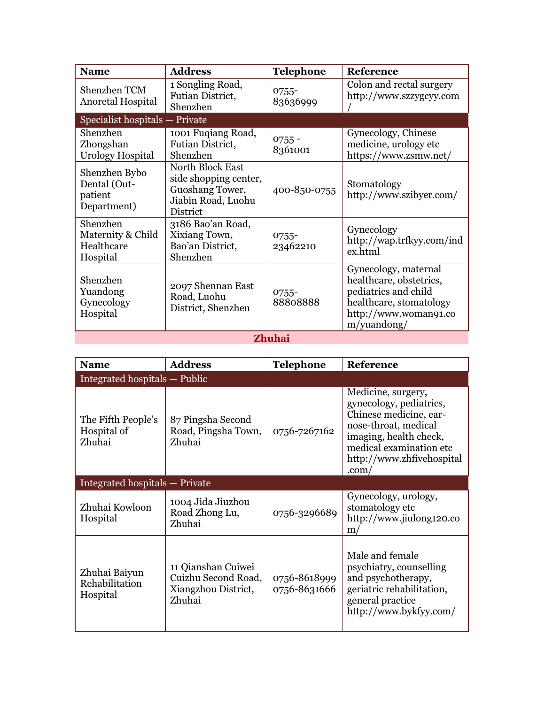| <b>Name</b>                                             | <b>Address</b>                                                                                               | <b>Telephone</b>     | Reference                                                                                                                                     |  |
|---------------------------------------------------------|--------------------------------------------------------------------------------------------------------------|----------------------|-----------------------------------------------------------------------------------------------------------------------------------------------|--|
| Shenzhen TCM<br>Anoretal Hospital                       | 1 Songling Road,<br>Futian District,<br>Shenzhen                                                             | $0755 -$<br>83636999 | Colon and rectal surgery<br>http://www.szzygcyy.com                                                                                           |  |
| Specialist hospitals - Private                          |                                                                                                              |                      |                                                                                                                                               |  |
| Shenzhen<br>Zhongshan<br>Urology Hospital               | 1001 Fuqiang Road,<br>Futian District,<br>Shenzhen                                                           | $0755 -$<br>8361001  | Gynecology, Chinese<br>medicine, urology etc<br>https://www.zsmw.net/                                                                         |  |
| Shenzhen Bybo<br>Dental (Out-<br>patient<br>Department) | <b>North Block East</b><br>side shopping center,<br>Guoshang Tower,<br>Jiabin Road, Luohu<br><b>District</b> | 400-850-0755         | Stomatology<br>http://www.szibyer.com/                                                                                                        |  |
| Shenzhen<br>Maternity & Child<br>Healthcare<br>Hospital | 3186 Bao'an Road,<br>Xixiang Town,<br>Bao'an District,<br>Shenzhen                                           | $0755 -$<br>23462210 | Gynecology<br>http://wap.trfkyy.com/ind<br>ex.html                                                                                            |  |
| Shenzhen<br>Yuandong<br>Gynecology<br>Hospital          | 2097 Shennan East<br>Road, Luohu<br>District, Shenzhen                                                       | $0755 -$<br>88808888 | Gynecology, maternal<br>healthcare, obstetrics,<br>pediatrics and child<br>healthcare, stomatology<br>http://www.woman91.co<br>$m/$ yuandong/ |  |
|                                                         | <b>Zhuhai</b>                                                                                                |                      |                                                                                                                                               |  |

| <b>Name</b>                                 | <b>Address</b>                                                             | <b>Telephone</b>             | Reference                                                                                                                                                                                              |
|---------------------------------------------|----------------------------------------------------------------------------|------------------------------|--------------------------------------------------------------------------------------------------------------------------------------------------------------------------------------------------------|
| Integrated hospitals — Public               |                                                                            |                              |                                                                                                                                                                                                        |
| The Fifth People's<br>Hospital of<br>Zhuhai | 87 Pingsha Second<br>Road, Pingsha Town,<br>Zhuhai                         | 0756-7267162                 | Medicine, surgery,<br>gynecology, pediatrics,<br>Chinese medicine, ear-<br>nose-throat, medical<br>imaging, health check,<br>medical examination etc<br>http://www.zhfivehospital<br>.com <sub>1</sub> |
| Integrated hospitals - Private              |                                                                            |                              |                                                                                                                                                                                                        |
| Zhuhai Kowloon<br>Hospital                  | 1004 Jida Jiuzhou<br>Road Zhong Lu,<br>Zhuhai                              | 0756-3296689                 | Gynecology, urology,<br>stomatology etc<br>http://www.jiulong120.co<br>m <sub>l</sub>                                                                                                                  |
| Zhuhai Baiyun<br>Rehabilitation<br>Hospital | 11 Qianshan Cuiwei<br>Cuizhu Second Road,<br>Xiangzhou District,<br>Zhuhai | 0756-8618999<br>0756-8631666 | Male and female<br>psychiatry, counselling<br>and psychotherapy,<br>geriatric rehabilitation,<br>general practice<br>http://www.bykfyy.com/                                                            |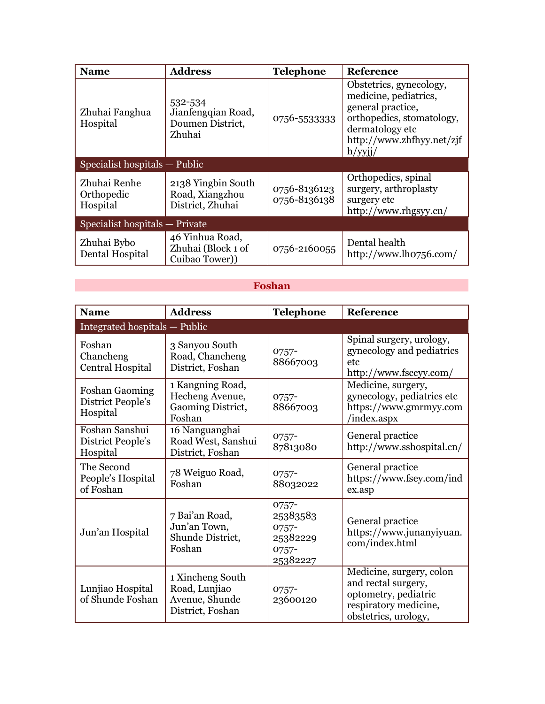| <b>Name</b>                            | <b>Address</b>                                              | <b>Telephone</b>             | <b>Reference</b>                                                                                                                                                 |  |
|----------------------------------------|-------------------------------------------------------------|------------------------------|------------------------------------------------------------------------------------------------------------------------------------------------------------------|--|
| Zhuhai Fanghua<br>Hospital             | 532-534<br>Jianfengqian Road,<br>Doumen District,<br>Zhuhai | 0756-55333333                | Obstetrics, gynecology,<br>medicine, pediatrics,<br>general practice,<br>orthopedics, stomatology,<br>dermatology etc<br>http://www.zhfhyy.net/zjf<br>$h$ /yyji/ |  |
| Specialist hospitals — Public          |                                                             |                              |                                                                                                                                                                  |  |
| Zhuhai Renhe<br>Orthopedic<br>Hospital | 2138 Yingbin South<br>Road, Xiangzhou<br>District, Zhuhai   | 0756-8136123<br>0756-8136138 | Orthopedics, spinal<br>surgery, arthroplasty<br>surgery etc<br>http://www.rhgsyy.cn/                                                                             |  |
| Specialist hospitals — Private         |                                                             |                              |                                                                                                                                                                  |  |
| Zhuhai Bybo<br>Dental Hospital         | 46 Yinhua Road,<br>Zhuhai (Block 1 of<br>Cuibao Tower))     | 0756-2160055                 | Dental health<br>http://www.lho756.com/                                                                                                                          |  |

## **Foshan**

| <b>Name</b>                                            | <b>Address</b>                                                          | <b>Telephone</b>                                                     | Reference                                                                                                                |
|--------------------------------------------------------|-------------------------------------------------------------------------|----------------------------------------------------------------------|--------------------------------------------------------------------------------------------------------------------------|
| Integrated hospitals - Public                          |                                                                         |                                                                      |                                                                                                                          |
| Foshan<br>Chancheng<br>Central Hospital                | 3 Sanyou South<br>Road, Chancheng<br>District, Foshan                   | $0757 -$<br>88667003                                                 | Spinal surgery, urology,<br>gynecology and pediatrics<br>etc<br>http://www.fsccyy.com/                                   |
| <b>Foshan Gaoming</b><br>District People's<br>Hospital | 1 Kangning Road,<br>Hecheng Avenue,<br>Gaoming District,<br>Foshan      | $0757 -$<br>88667003                                                 | Medicine, surgery,<br>gynecology, pediatrics etc<br>https://www.gmrmyy.com<br>/index.aspx                                |
| Foshan Sanshui<br>District People's<br>Hospital        | 16 Nanguanghai<br>Road West, Sanshui<br>District, Foshan                | $0757 -$<br>87813080                                                 | General practice<br>http://www.sshospital.cn/                                                                            |
| The Second<br>People's Hospital<br>of Foshan           | 78 Weiguo Road,<br>Foshan                                               | $0757 -$<br>88032022                                                 | General practice<br>https://www.fsey.com/ind<br>ex.asp                                                                   |
| Jun'an Hospital                                        | 7 Bai'an Road,<br>Jun'an Town,<br>Shunde District,<br>Foshan            | $0757 -$<br>25383583<br>$0757 -$<br>25382229<br>$0757 -$<br>25382227 | General practice<br>https://www.junanyiyuan.<br>com/index.html                                                           |
| Lunjiao Hospital<br>of Shunde Foshan                   | 1 Xincheng South<br>Road, Lunjiao<br>Avenue, Shunde<br>District, Foshan | $0757 -$<br>23600120                                                 | Medicine, surgery, colon<br>and rectal surgery,<br>optometry, pediatric<br>respiratory medicine,<br>obstetrics, urology, |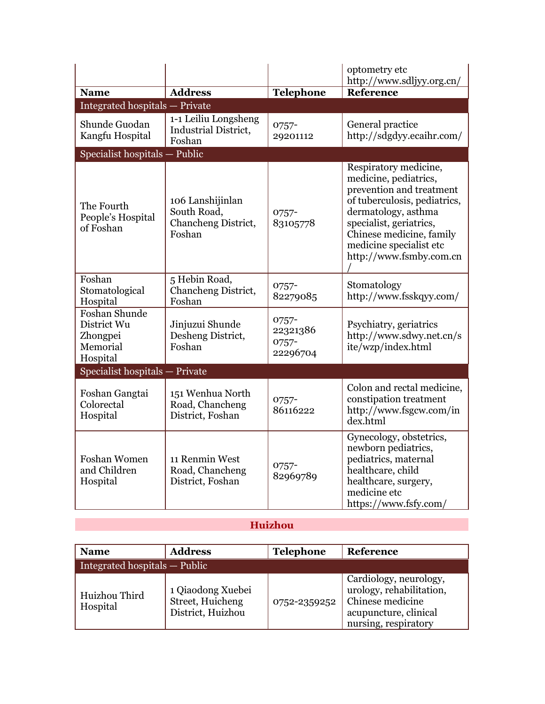|                                                                  |                                                                  |                                        | optometry etc<br>http://www.sdljyy.org.cn/                                                                                                                                                                                                     |
|------------------------------------------------------------------|------------------------------------------------------------------|----------------------------------------|------------------------------------------------------------------------------------------------------------------------------------------------------------------------------------------------------------------------------------------------|
| <b>Name</b>                                                      | <b>Address</b>                                                   | <b>Telephone</b>                       | Reference                                                                                                                                                                                                                                      |
| Integrated hospitals - Private                                   |                                                                  |                                        |                                                                                                                                                                                                                                                |
| Shunde Guodan<br>Kangfu Hospital                                 | 1-1 Leiliu Longsheng<br>Industrial District,<br>Foshan           | 0757-<br>29201112                      | General practice<br>http://sdgdyy.ecaihr.com/                                                                                                                                                                                                  |
| Specialist hospitals - Public                                    |                                                                  |                                        |                                                                                                                                                                                                                                                |
| The Fourth<br>People's Hospital<br>of Foshan                     | 106 Lanshijinlan<br>South Road,<br>Chancheng District,<br>Foshan | $0757 -$<br>83105778                   | Respiratory medicine,<br>medicine, pediatrics,<br>prevention and treatment<br>of tuberculosis, pediatrics,<br>dermatology, asthma<br>specialist, geriatrics,<br>Chinese medicine, family<br>medicine specialist etc<br>http://www.fsmby.com.cn |
| Foshan<br>Stomatological<br>Hospital                             | 5 Hebin Road,<br>Chancheng District,<br>Foshan                   | $0757 -$<br>82279085                   | Stomatology<br>http://www.fsskqyy.com/                                                                                                                                                                                                         |
| Foshan Shunde<br>District Wu<br>Zhongpei<br>Memorial<br>Hospital | Jinjuzui Shunde<br>Desheng District,<br>Foshan                   | 0757-<br>22321386<br>0757-<br>22296704 | Psychiatry, geriatrics<br>http://www.sdwy.net.cn/s<br>ite/wzp/index.html                                                                                                                                                                       |
| Specialist hospitals - Private                                   |                                                                  |                                        |                                                                                                                                                                                                                                                |
| Foshan Gangtai<br>Colorectal<br>Hospital                         | 151 Wenhua North<br>Road, Chancheng<br>District, Foshan          | 0757-<br>86116222                      | Colon and rectal medicine,<br>constipation treatment<br>http://www.fsgcw.com/in<br>dex.html                                                                                                                                                    |
| <b>Foshan Women</b><br>and Children<br>Hospital                  | 11 Renmin West<br>Road, Chancheng<br>District, Foshan            | $0757 -$<br>82969789                   | Gynecology, obstetrics,<br>newborn pediatrics,<br>pediatrics, maternal<br>healthcare, child<br>healthcare, surgery,<br>medicine etc<br>https://www.fsfy.com/                                                                                   |

## **Huizhou**

| <b>Name</b>                   | <b>Address</b>                                             | <b>Telephone</b> | Reference                                                                                                               |
|-------------------------------|------------------------------------------------------------|------------------|-------------------------------------------------------------------------------------------------------------------------|
| Integrated hospitals — Public |                                                            |                  |                                                                                                                         |
| Huizhou Third<br>Hospital     | 1 Qiaodong Xuebei<br>Street, Huicheng<br>District, Huizhou | 0752-2359252     | Cardiology, neurology,<br>urology, rehabilitation,<br>Chinese medicine<br>acupuncture, clinical<br>nursing, respiratory |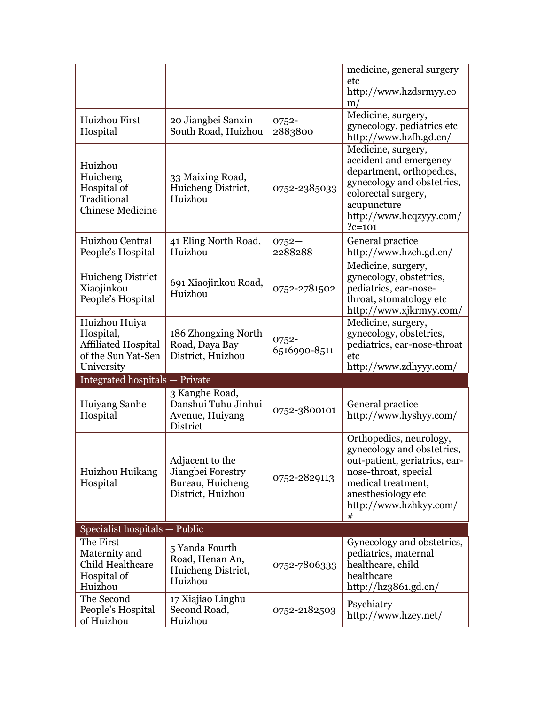|                                                                                        |                                                                                         |                       | medicine, general surgery<br>etc<br>http://www.hzdsrmyy.co<br>m/                                                                                                                          |
|----------------------------------------------------------------------------------------|-----------------------------------------------------------------------------------------|-----------------------|-------------------------------------------------------------------------------------------------------------------------------------------------------------------------------------------|
| <b>Huizhou First</b><br>Hospital                                                       | 20 Jiangbei Sanxin<br>South Road, Huizhou                                               | 0752-<br>2883800      | Medicine, surgery,<br>gynecology, pediatrics etc<br>http://www.hzfh.gd.cn/                                                                                                                |
| Huizhou<br>Huicheng<br>Hospital of<br>Traditional<br><b>Chinese Medicine</b>           | 33 Maixing Road,<br>Huicheng District,<br>Huizhou                                       | 0752-2385033          | Medicine, surgery,<br>accident and emergency<br>department, orthopedics,<br>gynecology and obstetrics,<br>colorectal surgery,<br>acupuncture<br>http://www.hcqzyyy.com/<br>$?c=101$       |
| Huizhou Central<br>People's Hospital                                                   | 41 Eling North Road,<br>Huizhou                                                         | $0752 -$<br>2288288   | General practice<br>http://www.hzch.gd.cn/                                                                                                                                                |
| Huicheng District<br>Xiaojinkou<br>People's Hospital                                   | 691 Xiaojinkou Road,<br>Huizhou                                                         | 0752-2781502          | Medicine, surgery,<br>gynecology, obstetrics,<br>pediatrics, ear-nose-<br>throat, stomatology etc<br>http://www.xjkrmyy.com/                                                              |
| Huizhou Huiya<br>Hospital,<br><b>Affiliated Hospital</b><br>of the Sun Yat-Sen         | 186 Zhongxing North<br>Road, Daya Bay<br>District, Huizhou                              | 0752-<br>6516990-8511 | Medicine, surgery,<br>gynecology, obstetrics,<br>pediatrics, ear-nose-throat<br>etc<br>http://www.zdhyyy.com/                                                                             |
| University                                                                             |                                                                                         |                       |                                                                                                                                                                                           |
| <b>Integrated hospitals - Private</b>                                                  |                                                                                         |                       |                                                                                                                                                                                           |
| Huiyang Sanhe<br>Hospital                                                              | 3 Kanghe Road,<br>Danshui Tuhu Jinhui<br>Avenue, Huiyang<br>District                    | 0752-3800101          | General practice<br>http://www.hyshyy.com/                                                                                                                                                |
| Huizhou Huikang<br>Hospital                                                            | Adjacent to the<br>Jiangbei Forestry<br>Bureau, Huicheng<br>District, Huizhou           | 0752-2829113          | Orthopedics, neurology,<br>gynecology and obstetrics,<br>out-patient, geriatrics, ear-<br>nose-throat, special<br>medical treatment,<br>anesthesiology etc<br>http://www.hzhkyy.com/<br># |
| Specialist hospitals - Public                                                          |                                                                                         |                       |                                                                                                                                                                                           |
| The First<br>Maternity and<br>Child Healthcare<br>Hospital of<br>Huizhou<br>The Second | 5 Yanda Fourth<br>Road, Henan An,<br>Huicheng District,<br>Huizhou<br>17 Xiajiao Linghu | 0752-7806333          | Gynecology and obstetrics,<br>pediatrics, maternal<br>healthcare, child<br>healthcare<br>http://hz $3861$ .gd.cn/                                                                         |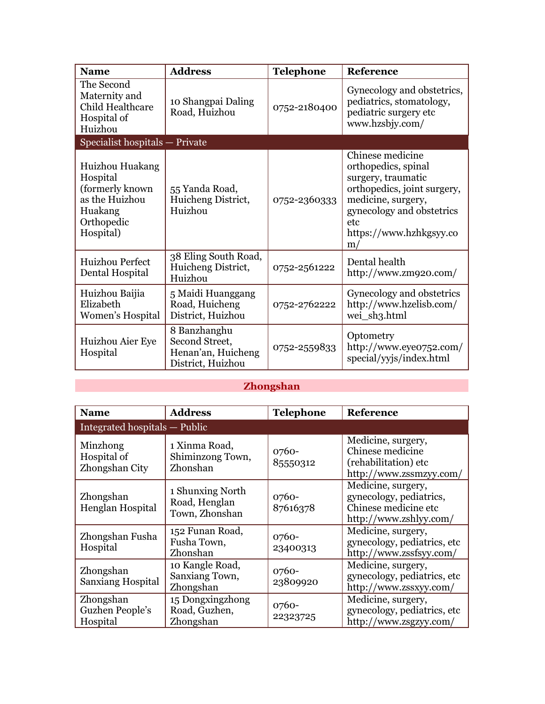| <b>Name</b>                                                                                             | <b>Address</b>                                                            | <b>Telephone</b> | Reference                                                                                                                                                                                |
|---------------------------------------------------------------------------------------------------------|---------------------------------------------------------------------------|------------------|------------------------------------------------------------------------------------------------------------------------------------------------------------------------------------------|
| The Second<br>Maternity and<br><b>Child Healthcare</b><br>Hospital of<br>Huizhou                        | 10 Shangpai Daling<br>Road, Huizhou                                       | 0752-2180400     | Gynecology and obstetrics,<br>pediatrics, stomatology,<br>pediatric surgery etc<br>www.hzsbjy.com/                                                                                       |
| Specialist hospitals - Private                                                                          |                                                                           |                  |                                                                                                                                                                                          |
| Huizhou Huakang<br>Hospital<br>(formerly known)<br>as the Huizhou<br>Huakang<br>Orthopedic<br>Hospital) | 55 Yanda Road,<br>Huicheng District,<br>Huizhou                           | 0752-2360333     | Chinese medicine<br>orthopedics, spinal<br>surgery, traumatic<br>orthopedics, joint surgery,<br>medicine, surgery,<br>gynecology and obstetrics<br>etc.<br>https://www.hzhkgsyy.co<br>m/ |
| Huizhou Perfect<br>Dental Hospital                                                                      | 38 Eling South Road,<br>Huicheng District,<br>Huizhou                     | 0752-2561222     | Dental health<br>http://www.zm920.com/                                                                                                                                                   |
| Huizhou Baijia<br>Elizabeth<br>Women's Hospital                                                         | 5 Maidi Huanggang<br>Road, Huicheng<br>District, Huizhou                  | 0752-2762222     | Gynecology and obstetrics<br>http://www.hzelisb.com/<br>wei_sh3.html                                                                                                                     |
| Huizhou Aier Eye<br>Hospital                                                                            | 8 Banzhanghu<br>Second Street,<br>Henan'an, Huicheng<br>District, Huizhou | 0752-2559833     | Optometry<br>http://www.eyeo752.com/<br>special/yyjs/index.html                                                                                                                          |

# **Zhongshan**

 $\mathcal{L}(\mathcal{A})$ 

| <b>Name</b>                               | <b>Address</b>                                      | <b>Telephone</b>  | Reference                                                                                       |
|-------------------------------------------|-----------------------------------------------------|-------------------|-------------------------------------------------------------------------------------------------|
| Integrated hospitals — Public             |                                                     |                   |                                                                                                 |
| Minzhong<br>Hospital of<br>Zhongshan City | 1 Xinma Road,<br>Shiminzong Town,<br>Zhonshan       | 0760-<br>85550312 | Medicine, surgery,<br>Chinese medicine<br>(rehabilitation) etc<br>http://www.zssmzyy.com/       |
| Zhongshan<br>Henglan Hospital             | 1 Shunxing North<br>Road, Henglan<br>Town, Zhonshan | 0760-<br>87616378 | Medicine, surgery,<br>gynecology, pediatrics,<br>Chinese medicine etc<br>http://www.zshlyy.com/ |
| Zhongshan Fusha<br>Hospital               | 152 Funan Road,<br>Fusha Town,<br>Zhonshan          | 0760-<br>23400313 | Medicine, surgery,<br>gynecology, pediatrics, etc.<br>http://www.zssfsyy.com/                   |
| Zhongshan<br>Sanxiang Hospital            | 10 Kangle Road,<br>Sanxiang Town,<br>Zhongshan      | 0760-<br>23809920 | Medicine, surgery,<br>gynecology, pediatrics, etc.<br>http://www.zssxyy.com/                    |
| Zhongshan<br>Guzhen People's<br>Hospital  | 15 Dongxingzhong<br>Road, Guzhen,<br>Zhongshan      | 0760-<br>22323725 | Medicine, surgery,<br>gynecology, pediatrics, etc.<br>http://www.zsgzyy.com/                    |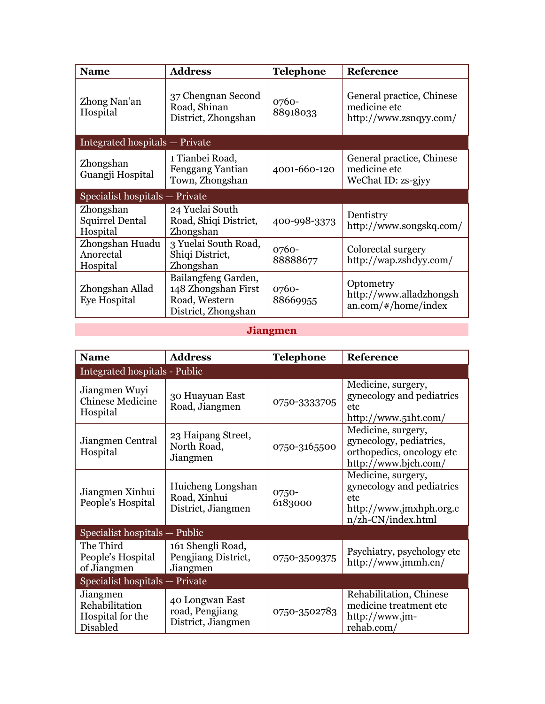| <b>Name</b>                                     | <b>Address</b>                                                                     | <b>Telephone</b>  | <b>Reference</b>                                                    |
|-------------------------------------------------|------------------------------------------------------------------------------------|-------------------|---------------------------------------------------------------------|
| Zhong Nan'an<br>Hospital                        | 37 Chengnan Second<br>Road, Shinan<br>District, Zhongshan                          | 0760-<br>88918033 | General practice, Chinese<br>medicine etc<br>http://www.zsnqyy.com/ |
| Integrated hospitals - Private                  |                                                                                    |                   |                                                                     |
| Zhongshan<br>Guangji Hospital                   | 1 Tianbei Road,<br><b>Fenggang Yantian</b><br>Town, Zhongshan                      | 4001-660-120      | General practice, Chinese<br>medicine etc<br>WeChat ID: zs-gjyy     |
| Specialist hospitals - Private                  |                                                                                    |                   |                                                                     |
| Zhongshan<br><b>Squirrel Dental</b><br>Hospital | 24 Yuelai South<br>Road, Shiqi District,<br>Zhongshan                              | 400-998-3373      | Dentistry<br>http://www.songskq.com/                                |
| Zhongshan Huadu<br>Anorectal<br>Hospital        | 3 Yuelai South Road,<br>Shiqi District,<br>Zhongshan                               | 0760-<br>88888677 | Colorectal surgery<br>http://wap.zshdyy.com/                        |
| Zhongshan Allad<br>Eye Hospital                 | Bailangfeng Garden,<br>148 Zhongshan First<br>Road, Western<br>District, Zhongshan | 0760-<br>88669955 | Optometry<br>http://www.alladzhongsh<br>$an.com/+/home/index$       |

# **Jiangmen**

| <b>Name</b>                                                | <b>Address</b>                                           | <b>Telephone</b> | Reference                                                                                                   |  |
|------------------------------------------------------------|----------------------------------------------------------|------------------|-------------------------------------------------------------------------------------------------------------|--|
| Integrated hospitals - Public                              |                                                          |                  |                                                                                                             |  |
| Jiangmen Wuyi<br><b>Chinese Medicine</b><br>Hospital       | 30 Huayuan East<br>Road, Jiangmen                        | 0750-3333705     | Medicine, surgery,<br>gynecology and pediatrics<br>etc.<br>http://www.51ht.com/                             |  |
| Jiangmen Central<br>Hospital                               | 23 Haipang Street,<br>North Road,<br>Jiangmen            | 0750-3165500     | Medicine, surgery,<br>gynecology, pediatrics,<br>orthopedics, oncology etc<br>http://www.bjch.com/          |  |
| Jiangmen Xinhui<br>People's Hospital                       | Huicheng Longshan<br>Road, Xinhui<br>District, Jiangmen  | 0750-<br>6183000 | Medicine, surgery,<br>gynecology and pediatrics<br>etc.<br>http://www.jmxhph.org.c<br>$n$ /zh-CN/index.html |  |
| Specialist hospitals — Public                              |                                                          |                  |                                                                                                             |  |
| The Third<br>People's Hospital<br>of Jiangmen              | 161 Shengli Road,<br>Pengjiang District,<br>Jiangmen     | 0750-3509375     | Psychiatry, psychology etc<br>http://www.jmmh.cn/                                                           |  |
| Specialist hospitals - Private                             |                                                          |                  |                                                                                                             |  |
| Jiangmen<br>Rehabilitation<br>Hospital for the<br>Disabled | 40 Longwan East<br>road, Pengjiang<br>District, Jiangmen | 0750-3502783     | Rehabilitation, Chinese<br>medicine treatment etc<br>http://www.jm-<br>rehab.com/                           |  |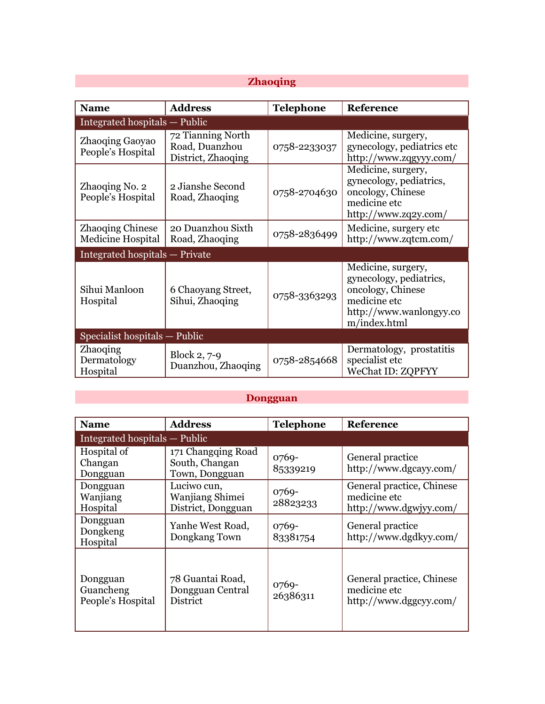## **Zhaoqing**

| <b>Name</b>                                  | <b>Address</b>                                            | <b>Telephone</b> | Reference                                                                                                                     |  |
|----------------------------------------------|-----------------------------------------------------------|------------------|-------------------------------------------------------------------------------------------------------------------------------|--|
| Integrated hospitals — Public                |                                                           |                  |                                                                                                                               |  |
| <b>Zhaoqing Gaoyao</b><br>People's Hospital  | 72 Tianning North<br>Road, Duanzhou<br>District, Zhaoqing | 0758-2233037     | Medicine, surgery,<br>gynecology, pediatrics etc<br>http://www.zqgyyy.com/                                                    |  |
| Zhaoqing No. 2<br>People's Hospital          | 2 Jianshe Second<br>Road, Zhaoqing                        | 0758-2704630     | Medicine, surgery,<br>gynecology, pediatrics,<br>oncology, Chinese<br>medicine etc<br>http://www.zq2y.com/                    |  |
| <b>Zhaoqing Chinese</b><br>Medicine Hospital | 20 Duanzhou Sixth<br>Road, Zhaoqing                       | 0758-2836499     | Medicine, surgery etc.<br>http://www.zqtcm.com/                                                                               |  |
| Integrated hospitals - Private               |                                                           |                  |                                                                                                                               |  |
| Sihui Manloon<br>Hospital                    | 6 Chaoyang Street,<br>Sihui, Zhaoqing                     | 0758-3363293     | Medicine, surgery,<br>gynecology, pediatrics,<br>oncology, Chinese<br>medicine etc<br>http://www.wanlongyy.co<br>m/index.html |  |
| Specialist hospitals — Public                |                                                           |                  |                                                                                                                               |  |
| <b>Zhaoqing</b><br>Dermatology<br>Hospital   | Block 2, 7-9<br>Duanzhou, Zhaoqing                        | 0758-2854668     | Dermatology, prostatitis<br>specialist etc<br>WeChat ID: ZQPFYY                                                               |  |

## **Dongguan**

| <b>Name</b>                                | <b>Address</b>                                          | <b>Telephone</b>    | <b>Reference</b>                                                    |  |
|--------------------------------------------|---------------------------------------------------------|---------------------|---------------------------------------------------------------------|--|
|                                            | Integrated hospitals — Public                           |                     |                                                                     |  |
| Hospital of<br>Changan<br>Dongguan         | 171 Changqing Road<br>South, Changan<br>Town, Dongguan  | 0769-<br>85339219   | General practice<br>http://www.dgcayy.com/                          |  |
| Dongguan<br>Wanjiang<br>Hospital           | Luciwo cun,<br>Wanjiang Shimei<br>District, Dongguan    | $0769-$<br>28823233 | General practice, Chinese<br>medicine etc<br>http://www.dgwjyy.com/ |  |
| Dongguan<br>Dongkeng<br>Hospital           | Yanhe West Road,<br>Dongkang Town                       | $0769-$<br>83381754 | General practice<br>http://www.dgdkyy.com/                          |  |
| Dongguan<br>Guancheng<br>People's Hospital | 78 Guantai Road,<br>Dongguan Central<br><b>District</b> | 0769-<br>26386311   | General practice, Chinese<br>medicine etc<br>http://www.dggcyy.com/ |  |